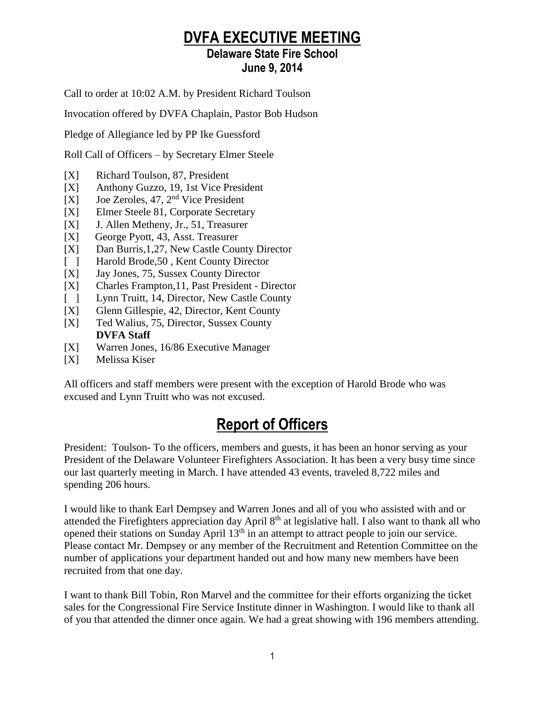# **DVFA EXECUTIVE MEETING**

## **Delaware State Fire School June 9, 2014**

Call to order at 10:02 A.M. by President Richard Toulson

Invocation offered by DVFA Chaplain, Pastor Bob Hudson

Pledge of Allegiance led by PP Ike Guessford

Roll Call of Officers – by Secretary Elmer Steele

- [X] Richard Toulson, 87, President
- [X] Anthony Guzzo, 19, 1st Vice President
- [X] Joe Zeroles, 47, 2nd Vice President
- [X] Elmer Steele 81, Corporate Secretary
- [X] J. Allen Metheny, Jr., 51, Treasurer
- [X] George Pyott, 43, Asst. Treasurer
- [X] Dan Burris,1,27, New Castle County Director
- [ ] Harold Brode, 50, Kent County Director
- [X] Jay Jones, 75, Sussex County Director
- [X] Charles Frampton,11, Past President Director
- [ ] Lynn Truitt, 14, Director, New Castle County
- [X] Glenn Gillespie, 42, Director, Kent County
- [X] Ted Walius, 75, Director, Sussex County **DVFA Staff**
- [X] Warren Jones, 16/86 Executive Manager
- [X] Melissa Kiser

All officers and staff members were present with the exception of Harold Brode who was excused and Lynn Truitt who was not excused.

# **Report of Officers**

President: Toulson- To the officers, members and guests, it has been an honor serving as your President of the Delaware Volunteer Firefighters Association. It has been a very busy time since our last quarterly meeting in March. I have attended 43 events, traveled 8,722 miles and spending 206 hours.

I would like to thank Earl Dempsey and Warren Jones and all of you who assisted with and or attended the Firefighters appreciation day April 8<sup>th</sup> at legislative hall. I also want to thank all who opened their stations on Sunday April 13<sup>th</sup> in an attempt to attract people to join our service. Please contact Mr. Dempsey or any member of the Recruitment and Retention Committee on the number of applications your department handed out and how many new members have been recruited from that one day.

I want to thank Bill Tobin, Ron Marvel and the committee for their efforts organizing the ticket sales for the Congressional Fire Service Institute dinner in Washington. I would like to thank all of you that attended the dinner once again. We had a great showing with 196 members attending.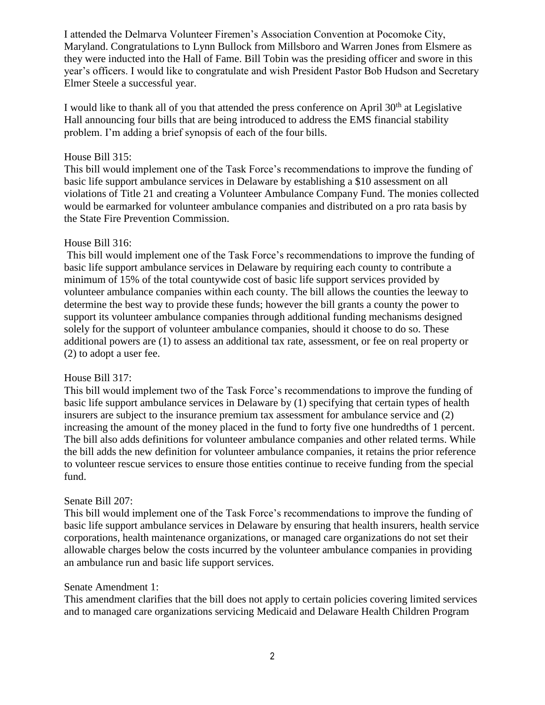I attended the Delmarva Volunteer Firemen's Association Convention at Pocomoke City, Maryland. Congratulations to Lynn Bullock from Millsboro and Warren Jones from Elsmere as they were inducted into the Hall of Fame. Bill Tobin was the presiding officer and swore in this year's officers. I would like to congratulate and wish President Pastor Bob Hudson and Secretary Elmer Steele a successful year.

I would like to thank all of you that attended the press conference on April  $30<sup>th</sup>$  at Legislative Hall announcing four bills that are being introduced to address the EMS financial stability problem. I'm adding a brief synopsis of each of the four bills.

#### House Bill 315:

This bill would implement one of the Task Force's recommendations to improve the funding of basic life support ambulance services in Delaware by establishing a \$10 assessment on all violations of Title 21 and creating a Volunteer Ambulance Company Fund. The monies collected would be earmarked for volunteer ambulance companies and distributed on a pro rata basis by the State Fire Prevention Commission.

#### House Bill 316:

This bill would implement one of the Task Force's recommendations to improve the funding of basic life support ambulance services in Delaware by requiring each county to contribute a minimum of 15% of the total countywide cost of basic life support services provided by volunteer ambulance companies within each county. The bill allows the counties the leeway to determine the best way to provide these funds; however the bill grants a county the power to support its volunteer ambulance companies through additional funding mechanisms designed solely for the support of volunteer ambulance companies, should it choose to do so. These additional powers are (1) to assess an additional tax rate, assessment, or fee on real property or (2) to adopt a user fee.

#### House Bill 317:

This bill would implement two of the Task Force's recommendations to improve the funding of basic life support ambulance services in Delaware by (1) specifying that certain types of health insurers are subject to the insurance premium tax assessment for ambulance service and (2) increasing the amount of the money placed in the fund to forty five one hundredths of 1 percent. The bill also adds definitions for volunteer ambulance companies and other related terms. While the bill adds the new definition for volunteer ambulance companies, it retains the prior reference to volunteer rescue services to ensure those entities continue to receive funding from the special fund.

#### Senate Bill 207:

This bill would implement one of the Task Force's recommendations to improve the funding of basic life support ambulance services in Delaware by ensuring that health insurers, health service corporations, health maintenance organizations, or managed care organizations do not set their allowable charges below the costs incurred by the volunteer ambulance companies in providing an ambulance run and basic life support services.

#### Senate Amendment 1:

This amendment clarifies that the bill does not apply to certain policies covering limited services and to managed care organizations servicing Medicaid and Delaware Health Children Program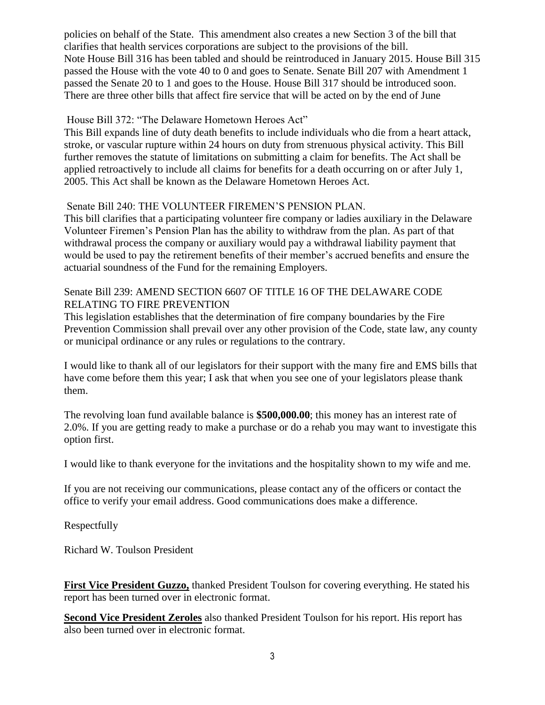policies on behalf of the State. This amendment also creates a new Section 3 of the bill that clarifies that health services corporations are subject to the provisions of the bill. Note House Bill 316 has been tabled and should be reintroduced in January 2015. House Bill 315 passed the House with the vote 40 to 0 and goes to Senate. Senate Bill 207 with Amendment 1 passed the Senate 20 to 1 and goes to the House. House Bill 317 should be introduced soon. There are three other bills that affect fire service that will be acted on by the end of June

### House Bill 372: "The Delaware Hometown Heroes Act"

This Bill expands line of duty death benefits to include individuals who die from a heart attack, stroke, or vascular rupture within 24 hours on duty from strenuous physical activity. This Bill further removes the statute of limitations on submitting a claim for benefits. The Act shall be applied retroactively to include all claims for benefits for a death occurring on or after July 1, 2005. This Act shall be known as the Delaware Hometown Heroes Act.

#### Senate Bill 240: THE VOLUNTEER FIREMEN'S PENSION PLAN.

This bill clarifies that a participating volunteer fire company or ladies auxiliary in the Delaware Volunteer Firemen's Pension Plan has the ability to withdraw from the plan. As part of that withdrawal process the company or auxiliary would pay a withdrawal liability payment that would be used to pay the retirement benefits of their member's accrued benefits and ensure the actuarial soundness of the Fund for the remaining Employers.

#### Senate Bill 239: AMEND SECTION 6607 OF TITLE 16 OF THE DELAWARE CODE RELATING TO FIRE PREVENTION

This legislation establishes that the determination of fire company boundaries by the Fire Prevention Commission shall prevail over any other provision of the Code, state law, any county or municipal ordinance or any rules or regulations to the contrary.

I would like to thank all of our legislators for their support with the many fire and EMS bills that have come before them this year; I ask that when you see one of your legislators please thank them.

The revolving loan fund available balance is **\$500,000.00**; this money has an interest rate of 2.0%. If you are getting ready to make a purchase or do a rehab you may want to investigate this option first.

I would like to thank everyone for the invitations and the hospitality shown to my wife and me.

If you are not receiving our communications, please contact any of the officers or contact the office to verify your email address. Good communications does make a difference.

Respectfully

Richard W. Toulson President

**First Vice President Guzzo,** thanked President Toulson for covering everything. He stated his report has been turned over in electronic format.

**Second Vice President Zeroles** also thanked President Toulson for his report. His report has also been turned over in electronic format.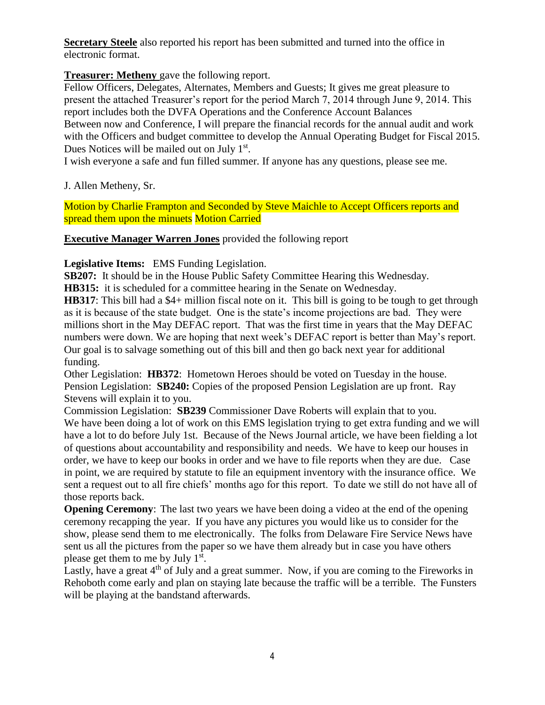**Secretary Steele** also reported his report has been submitted and turned into the office in electronic format.

**Treasurer: Metheny** gave the following report.

Fellow Officers, Delegates, Alternates, Members and Guests; It gives me great pleasure to present the attached Treasurer's report for the period March 7, 2014 through June 9, 2014. This report includes both the DVFA Operations and the Conference Account Balances Between now and Conference, I will prepare the financial records for the annual audit and work with the Officers and budget committee to develop the Annual Operating Budget for Fiscal 2015. Dues Notices will be mailed out on July 1<sup>st</sup>.

I wish everyone a safe and fun filled summer. If anyone has any questions, please see me.

J. Allen Metheny, Sr.

Motion by Charlie Frampton and Seconded by Steve Maichle to Accept Officers reports and spread them upon the minuets Motion Carried

**Executive Manager Warren Jones** provided the following report

**Legislative Items:** EMS Funding Legislation.

**SB207:** It should be in the House Public Safety Committee Hearing this Wednesday.

**HB315:** it is scheduled for a committee hearing in the Senate on Wednesday.

**HB317**: This bill had a \$4+ million fiscal note on it. This bill is going to be tough to get through as it is because of the state budget. One is the state's income projections are bad. They were millions short in the May DEFAC report. That was the first time in years that the May DEFAC numbers were down. We are hoping that next week's DEFAC report is better than May's report. Our goal is to salvage something out of this bill and then go back next year for additional funding.

Other Legislation: **HB372**: Hometown Heroes should be voted on Tuesday in the house. Pension Legislation: **SB240:** Copies of the proposed Pension Legislation are up front. Ray Stevens will explain it to you.

Commission Legislation: **SB239** Commissioner Dave Roberts will explain that to you. We have been doing a lot of work on this EMS legislation trying to get extra funding and we will have a lot to do before July 1st. Because of the News Journal article, we have been fielding a lot of questions about accountability and responsibility and needs. We have to keep our houses in order, we have to keep our books in order and we have to file reports when they are due. Case in point, we are required by statute to file an equipment inventory with the insurance office. We sent a request out to all fire chiefs' months ago for this report. To date we still do not have all of those reports back.

**Opening Ceremony:** The last two years we have been doing a video at the end of the opening ceremony recapping the year. If you have any pictures you would like us to consider for the show, please send them to me electronically. The folks from Delaware Fire Service News have sent us all the pictures from the paper so we have them already but in case you have others please get them to me by July 1<sup>st</sup>.

Lastly, have a great  $4<sup>th</sup>$  of July and a great summer. Now, if you are coming to the Fireworks in Rehoboth come early and plan on staying late because the traffic will be a terrible. The Funsters will be playing at the bandstand afterwards.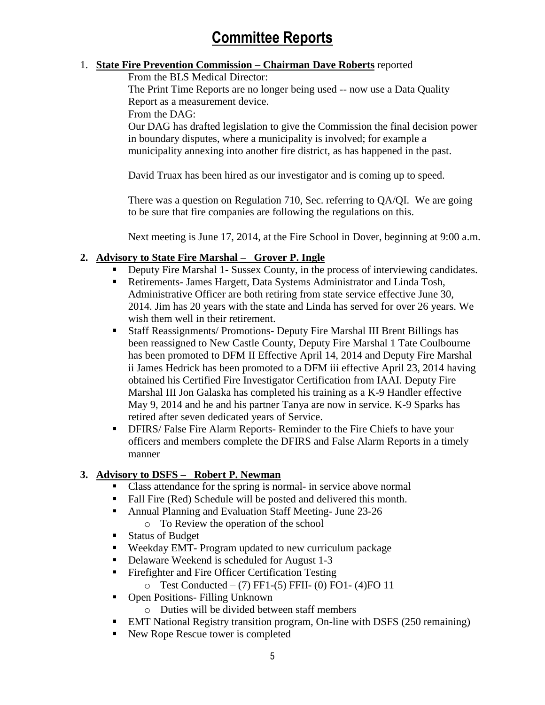# **Committee Reports**

### 1. **State Fire Prevention Commission – Chairman Dave Roberts** reported

From the BLS Medical Director:

The Print Time Reports are no longer being used -- now use a Data Quality Report as a measurement device.

From the DAG:

Our DAG has drafted legislation to give the Commission the final decision power in boundary disputes, where a municipality is involved; for example a municipality annexing into another fire district, as has happened in the past.

David Truax has been hired as our investigator and is coming up to speed.

There was a question on Regulation 710, Sec. referring to QA/QI. We are going to be sure that fire companies are following the regulations on this.

Next meeting is June 17, 2014, at the Fire School in Dover, beginning at 9:00 a.m.

### **2. Advisory to State Fire Marshal – Grover P. Ingle**

- Deputy Fire Marshal 1- Sussex County, in the process of interviewing candidates.
- Retirements- James Hargett, Data Systems Administrator and Linda Tosh, Administrative Officer are both retiring from state service effective June 30, 2014. Jim has 20 years with the state and Linda has served for over 26 years. We wish them well in their retirement.
- Staff Reassignments/ Promotions- Deputy Fire Marshal III Brent Billings has been reassigned to New Castle County, Deputy Fire Marshal 1 Tate Coulbourne has been promoted to DFM II Effective April 14, 2014 and Deputy Fire Marshal ii James Hedrick has been promoted to a DFM iii effective April 23, 2014 having obtained his Certified Fire Investigator Certification from IAAI. Deputy Fire Marshal III Jon Galaska has completed his training as a K-9 Handler effective May 9, 2014 and he and his partner Tanya are now in service. K-9 Sparks has retired after seven dedicated years of Service.
- **DFIRS/ False Fire Alarm Reports- Reminder to the Fire Chiefs to have your** officers and members complete the DFIRS and False Alarm Reports in a timely manner

### **3. Advisory to DSFS – Robert P. Newman**

- Class attendance for the spring is normal- in service above normal
- Fall Fire (Red) Schedule will be posted and delivered this month.
- Annual Planning and Evaluation Staff Meeting- June 23-26
	- o To Review the operation of the school
- Status of Budget
- Weekday EMT- Program updated to new curriculum package
- Delaware Weekend is scheduled for August 1-3
- **Firefighter and Fire Officer Certification Testing** 
	- o Test Conducted (7) FF1-(5) FFII- (0) FO1- (4)FO 11
- Open Positions- Filling Unknown
	- o Duties will be divided between staff members
- EMT National Registry transition program, On-line with DSFS (250 remaining)
- New Rope Rescue tower is completed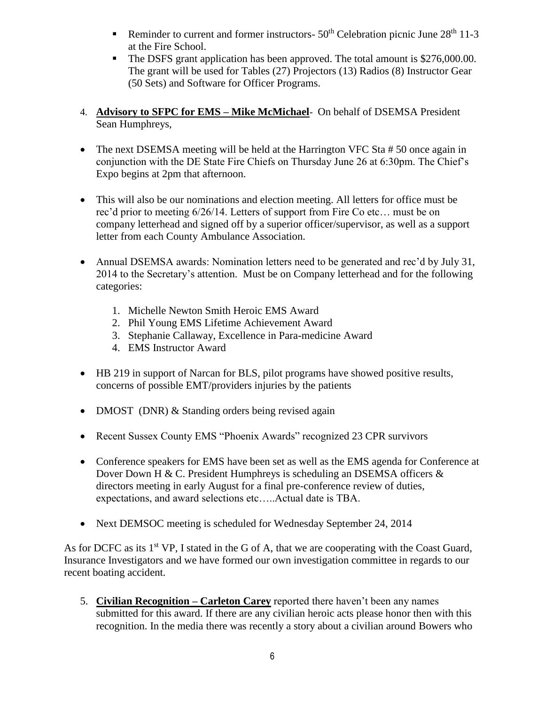- Reminder to current and former instructors-  $50<sup>th</sup>$  Celebration picnic June  $28<sup>th</sup> 11-3$ at the Fire School.
- The DSFS grant application has been approved. The total amount is \$276,000.00. The grant will be used for Tables (27) Projectors (13) Radios (8) Instructor Gear (50 Sets) and Software for Officer Programs.
- 4. **Advisory to SFPC for EMS – Mike McMichael** On behalf of DSEMSA President Sean Humphreys,
- The next DSEMSA meeting will be held at the Harrington VFC Sta #50 once again in conjunction with the DE State Fire Chiefs on Thursday June 26 at 6:30pm. The Chief's Expo begins at 2pm that afternoon.
- This will also be our nominations and election meeting. All letters for office must be rec'd prior to meeting 6/26/14. Letters of support from Fire Co etc… must be on company letterhead and signed off by a superior officer/supervisor, as well as a support letter from each County Ambulance Association.
- Annual DSEMSA awards: Nomination letters need to be generated and rec'd by July 31, 2014 to the Secretary's attention. Must be on Company letterhead and for the following categories:
	- 1. Michelle Newton Smith Heroic EMS Award
	- 2. Phil Young EMS Lifetime Achievement Award
	- 3. Stephanie Callaway, Excellence in Para-medicine Award
	- 4. EMS Instructor Award
- HB 219 in support of Narcan for BLS, pilot programs have showed positive results, concerns of possible EMT/providers injuries by the patients
- DMOST (DNR) & Standing orders being revised again
- Recent Sussex County EMS "Phoenix Awards" recognized 23 CPR survivors
- Conference speakers for EMS have been set as well as the EMS agenda for Conference at Dover Down H & C. President Humphreys is scheduling an DSEMSA officers  $\&$ directors meeting in early August for a final pre-conference review of duties, expectations, and award selections etc…..Actual date is TBA.
- Next DEMSOC meeting is scheduled for Wednesday September 24, 2014

As for DCFC as its  $1<sup>st</sup> VP$ , I stated in the G of A, that we are cooperating with the Coast Guard, Insurance Investigators and we have formed our own investigation committee in regards to our recent boating accident.

5. **Civilian Recognition – Carleton Carey** reported there haven't been any names submitted for this award. If there are any civilian heroic acts please honor then with this recognition. In the media there was recently a story about a civilian around Bowers who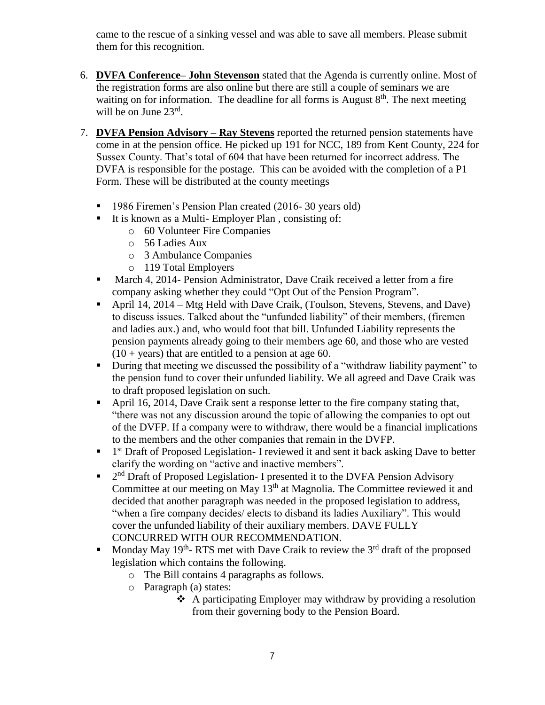came to the rescue of a sinking vessel and was able to save all members. Please submit them for this recognition.

- 6. **DVFA Conference– John Stevenson** stated that the Agenda is currently online. Most of the registration forms are also online but there are still a couple of seminars we are waiting on for information. The deadline for all forms is August  $8<sup>th</sup>$ . The next meeting will be on June 23rd.
- 7. **DVFA Pension Advisory – Ray Stevens** reported the returned pension statements have come in at the pension office. He picked up 191 for NCC, 189 from Kent County, 224 for Sussex County. That's total of 604 that have been returned for incorrect address. The DVFA is responsible for the postage. This can be avoided with the completion of a P1 Form. These will be distributed at the county meetings
	- <sup>1986</sup> Firemen's Pension Plan created (2016-30 years old)
	- It is known as a Multi-Employer Plan, consisting of:
		- o 60 Volunteer Fire Companies
		- o 56 Ladies Aux
		- o 3 Ambulance Companies
		- o 119 Total Employers
	- March 4, 2014- Pension Administrator, Dave Craik received a letter from a fire company asking whether they could "Opt Out of the Pension Program".
	- April 14, 2014 Mtg Held with Dave Craik, (Toulson, Stevens, Stevens, and Dave) to discuss issues. Talked about the "unfunded liability" of their members, (firemen and ladies aux.) and, who would foot that bill. Unfunded Liability represents the pension payments already going to their members age 60, and those who are vested  $(10 + \text{years})$  that are entitled to a pension at age 60.
	- During that meeting we discussed the possibility of a "withdraw liability payment" to the pension fund to cover their unfunded liability. We all agreed and Dave Craik was to draft proposed legislation on such.
	- April 16, 2014, Dave Craik sent a response letter to the fire company stating that, "there was not any discussion around the topic of allowing the companies to opt out of the DVFP. If a company were to withdraw, there would be a financial implications to the members and the other companies that remain in the DVFP.
	- <sup>1</sup> 1<sup>st</sup> Draft of Proposed Legislation- I reviewed it and sent it back asking Dave to better clarify the wording on "active and inactive members".
	- $\blacksquare$  2<sup>nd</sup> Draft of Proposed Legislation- I presented it to the DVFA Pension Advisory Committee at our meeting on May  $13<sup>th</sup>$  at Magnolia. The Committee reviewed it and decided that another paragraph was needed in the proposed legislation to address, "when a fire company decides/ elects to disband its ladies Auxiliary". This would cover the unfunded liability of their auxiliary members. DAVE FULLY CONCURRED WITH OUR RECOMMENDATION.
	- Monday May 19<sup>th</sup>-RTS met with Dave Craik to review the  $3<sup>rd</sup>$  draft of the proposed legislation which contains the following.
		- o The Bill contains 4 paragraphs as follows.
		- o Paragraph (a) states:
			- A participating Employer may withdraw by providing a resolution from their governing body to the Pension Board.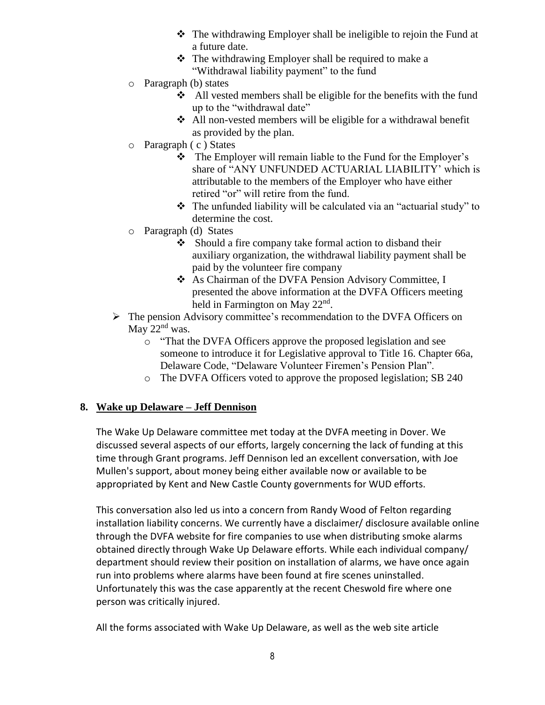- The withdrawing Employer shall be ineligible to rejoin the Fund at a future date.
- $\triangle$  The withdrawing Employer shall be required to make a "Withdrawal liability payment" to the fund
- o Paragraph (b) states
	- $\triangle$  All vested members shall be eligible for the benefits with the fund up to the "withdrawal date"
	- All non-vested members will be eligible for a withdrawal benefit as provided by the plan.
- o Paragraph ( c ) States
	- $\triangle$  The Employer will remain liable to the Fund for the Employer's share of "ANY UNFUNDED ACTUARIAL LIABILITY' which is attributable to the members of the Employer who have either retired "or" will retire from the fund.
	- $\triangle$  The unfunded liability will be calculated via an "actuarial study" to determine the cost.
- o Paragraph (d) States
	- $\bullet$  Should a fire company take formal action to disband their auxiliary organization, the withdrawal liability payment shall be paid by the volunteer fire company
	- As Chairman of the DVFA Pension Advisory Committee, I presented the above information at the DVFA Officers meeting held in Farmington on May 22<sup>nd</sup>.
- $\triangleright$  The pension Advisory committee's recommendation to the DVFA Officers on May 22<sup>nd</sup> was.
	- o "That the DVFA Officers approve the proposed legislation and see someone to introduce it for Legislative approval to Title 16. Chapter 66a, Delaware Code, "Delaware Volunteer Firemen's Pension Plan".
	- o The DVFA Officers voted to approve the proposed legislation; SB 240

### **8. Wake up Delaware – Jeff Dennison**

The Wake Up Delaware committee met today at the DVFA meeting in Dover. We discussed several aspects of our efforts, largely concerning the lack of funding at this time through Grant programs. Jeff Dennison led an excellent conversation, with Joe Mullen's support, about money being either available now or available to be appropriated by Kent and New Castle County governments for WUD efforts.

This conversation also led us into a concern from Randy Wood of Felton regarding installation liability concerns. We currently have a disclaimer/ disclosure available online through the DVFA website for fire companies to use when distributing smoke alarms obtained directly through Wake Up Delaware efforts. While each individual company/ department should review their position on installation of alarms, we have once again run into problems where alarms have been found at fire scenes uninstalled. Unfortunately this was the case apparently at the recent Cheswold fire where one person was critically injured.

All the forms associated with Wake Up Delaware, as well as the web site article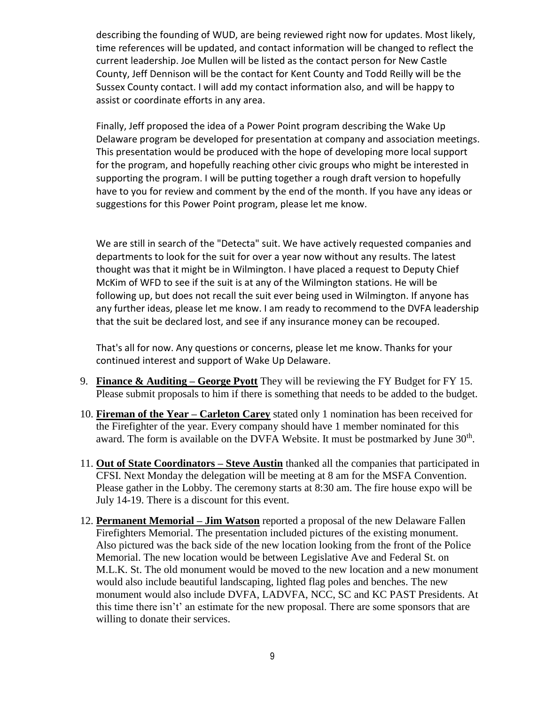describing the founding of WUD, are being reviewed right now for updates. Most likely, time references will be updated, and contact information will be changed to reflect the current leadership. Joe Mullen will be listed as the contact person for New Castle County, Jeff Dennison will be the contact for Kent County and Todd Reilly will be the Sussex County contact. I will add my contact information also, and will be happy to assist or coordinate efforts in any area.

Finally, Jeff proposed the idea of a Power Point program describing the Wake Up Delaware program be developed for presentation at company and association meetings. This presentation would be produced with the hope of developing more local support for the program, and hopefully reaching other civic groups who might be interested in supporting the program. I will be putting together a rough draft version to hopefully have to you for review and comment by the end of the month. If you have any ideas or suggestions for this Power Point program, please let me know.

We are still in search of the "Detecta" suit. We have actively requested companies and departments to look for the suit for over a year now without any results. The latest thought was that it might be in Wilmington. I have placed a request to Deputy Chief McKim of WFD to see if the suit is at any of the Wilmington stations. He will be following up, but does not recall the suit ever being used in Wilmington. If anyone has any further ideas, please let me know. I am ready to recommend to the DVFA leadership that the suit be declared lost, and see if any insurance money can be recouped.

That's all for now. Any questions or concerns, please let me know. Thanks for your continued interest and support of Wake Up Delaware.

- 9. **Finance & Auditing – George Pyott** They will be reviewing the FY Budget for FY 15. Please submit proposals to him if there is something that needs to be added to the budget.
- 10. **Fireman of the Year – Carleton Carey** stated only 1 nomination has been received for the Firefighter of the year. Every company should have 1 member nominated for this award. The form is available on the DVFA Website. It must be postmarked by June  $30<sup>th</sup>$ .
- 11. **Out of State Coordinators – Steve Austin** thanked all the companies that participated in CFSI. Next Monday the delegation will be meeting at 8 am for the MSFA Convention. Please gather in the Lobby. The ceremony starts at 8:30 am. The fire house expo will be July 14-19. There is a discount for this event.
- 12. **Permanent Memorial – Jim Watson** reported a proposal of the new Delaware Fallen Firefighters Memorial. The presentation included pictures of the existing monument. Also pictured was the back side of the new location looking from the front of the Police Memorial. The new location would be between Legislative Ave and Federal St. on M.L.K. St. The old monument would be moved to the new location and a new monument would also include beautiful landscaping, lighted flag poles and benches. The new monument would also include DVFA, LADVFA, NCC, SC and KC PAST Presidents. At this time there isn't' an estimate for the new proposal. There are some sponsors that are willing to donate their services.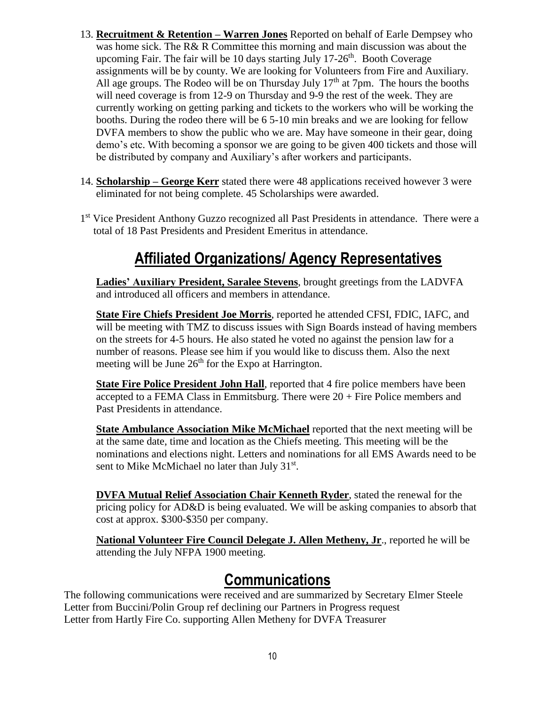- 13. **Recruitment & Retention – Warren Jones** Reported on behalf of Earle Dempsey who was home sick. The R& R Committee this morning and main discussion was about the upcoming Fair. The fair will be 10 days starting July  $17\text{-}26<sup>th</sup>$ . Booth Coverage assignments will be by county. We are looking for Volunteers from Fire and Auxiliary. All age groups. The Rodeo will be on Thursday July  $17<sup>th</sup>$  at 7pm. The hours the booths will need coverage is from 12-9 on Thursday and 9-9 the rest of the week. They are currently working on getting parking and tickets to the workers who will be working the booths. During the rodeo there will be 6 5-10 min breaks and we are looking for fellow DVFA members to show the public who we are. May have someone in their gear, doing demo's etc. With becoming a sponsor we are going to be given 400 tickets and those will be distributed by company and Auxiliary's after workers and participants.
- 14. **Scholarship – George Kerr** stated there were 48 applications received however 3 were eliminated for not being complete. 45 Scholarships were awarded.
- 1<sup>st</sup> Vice President Anthony Guzzo recognized all Past Presidents in attendance. There were a total of 18 Past Presidents and President Emeritus in attendance.

# **Affiliated Organizations/ Agency Representatives**

**Ladies' Auxiliary President, Saralee Stevens**, brought greetings from the LADVFA and introduced all officers and members in attendance.

**State Fire Chiefs President Joe Morris**, reported he attended CFSI, FDIC, IAFC, and will be meeting with TMZ to discuss issues with Sign Boards instead of having members on the streets for 4-5 hours. He also stated he voted no against the pension law for a number of reasons. Please see him if you would like to discuss them. Also the next meeting will be June  $26<sup>th</sup>$  for the Expo at Harrington.

**State Fire Police President John Hall**, reported that 4 fire police members have been accepted to a FEMA Class in Emmitsburg. There were  $20 +$  Fire Police members and Past Presidents in attendance.

**State Ambulance Association Mike McMichael** reported that the next meeting will be at the same date, time and location as the Chiefs meeting. This meeting will be the nominations and elections night. Letters and nominations for all EMS Awards need to be sent to Mike McMichael no later than July 31<sup>st</sup>.

**DVFA Mutual Relief Association Chair Kenneth Ryder**, stated the renewal for the pricing policy for AD&D is being evaluated. We will be asking companies to absorb that cost at approx. \$300-\$350 per company.

**National Volunteer Fire Council Delegate J. Allen Metheny, Jr**., reported he will be attending the July NFPA 1900 meeting.

## **Communications**

The following communications were received and are summarized by Secretary Elmer Steele Letter from Buccini/Polin Group ref declining our Partners in Progress request Letter from Hartly Fire Co. supporting Allen Metheny for DVFA Treasurer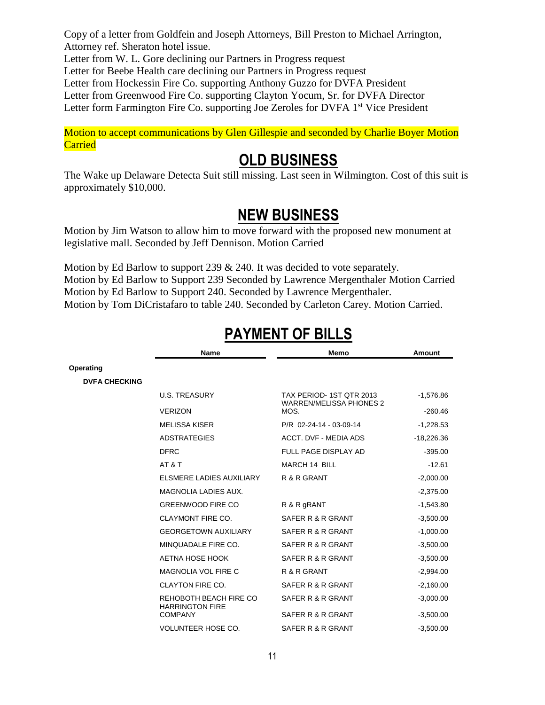Copy of a letter from Goldfein and Joseph Attorneys, Bill Preston to Michael Arrington, Attorney ref. Sheraton hotel issue. Letter from W. L. Gore declining our Partners in Progress request Letter for Beebe Health care declining our Partners in Progress request Letter from Hockessin Fire Co. supporting Anthony Guzzo for DVFA President Letter from Greenwood Fire Co. supporting Clayton Yocum, Sr. for DVFA Director Letter form Farmington Fire Co. supporting Joe Zeroles for DVFA 1<sup>st</sup> Vice President

Motion to accept communications by Glen Gillespie and seconded by Charlie Boyer Motion **Carried** 

## **OLD BUSINESS**

The Wake up Delaware Detecta Suit still missing. Last seen in Wilmington. Cost of this suit is approximately \$10,000.

# **NEW BUSINESS**

Motion by Jim Watson to allow him to move forward with the proposed new monument at legislative mall. Seconded by Jeff Dennison. Motion Carried

Motion by Ed Barlow to support 239 & 240. It was decided to vote separately. Motion by Ed Barlow to Support 239 Seconded by Lawrence Mergenthaler Motion Carried Motion by Ed Barlow to Support 240. Seconded by Lawrence Mergenthaler. Motion by Tom DiCristafaro to table 240. Seconded by Carleton Carey. Motion Carried.

|                      | Name                                             | Memo                                                              | <b>Amount</b> |
|----------------------|--------------------------------------------------|-------------------------------------------------------------------|---------------|
| Operating            |                                                  |                                                                   |               |
| <b>DVFA CHECKING</b> |                                                  |                                                                   |               |
|                      | <b>U.S. TREASURY</b>                             | TAX PERIOD-1ST QTR 2013<br><b>WARREN/MELISSA PHONES 2</b><br>MOS. | $-1,576.86$   |
|                      | <b>VERIZON</b>                                   |                                                                   | $-260.46$     |
|                      | <b>MELISSA KISER</b>                             | P/R 02-24-14 - 03-09-14                                           | $-1,228.53$   |
|                      | <b>ADSTRATEGIES</b>                              | ACCT. DVF - MEDIA ADS                                             | $-18,226.36$  |
|                      | <b>DFRC</b>                                      | FULL PAGE DISPLAY AD                                              | $-395.00$     |
|                      | AT&T                                             | MARCH 14 BILL                                                     | $-12.61$      |
|                      | ELSMERE LADIES AUXILIARY                         | R & R GRANT                                                       | $-2,000.00$   |
|                      | <b>MAGNOLIA LADIES AUX.</b>                      |                                                                   | $-2,375.00$   |
|                      | <b>GREENWOOD FIRE CO</b>                         | R & R gRANT                                                       | $-1,543.80$   |
|                      | <b>CLAYMONT FIRE CO.</b>                         | SAFER R & R GRANT                                                 | $-3,500.00$   |
|                      | <b>GEORGETOWN AUXILIARY</b>                      | SAFER R & R GRANT                                                 | $-1,000.00$   |
|                      | MINQUADALE FIRE CO.                              | SAFER R & R GRANT                                                 | $-3,500.00$   |
|                      | AETNA HOSE HOOK                                  | SAFER R & R GRANT                                                 | $-3,500.00$   |
|                      | <b>MAGNOLIA VOL FIRE C</b>                       | R & R GRANT                                                       | $-2,994.00$   |
|                      | CLAYTON FIRE CO.                                 | SAFER R & R GRANT                                                 | $-2,160.00$   |
|                      | REHOBOTH BEACH FIRE CO<br><b>HARRINGTON FIRE</b> | SAFER R & R GRANT                                                 | $-3,000.00$   |
|                      | <b>COMPANY</b>                                   | SAFER R & R GRANT                                                 | $-3,500.00$   |
|                      | <b>VOLUNTEER HOSE CO.</b>                        | SAFER R & R GRANT                                                 | $-3,500.00$   |

# **PAYMENT OF BILLS**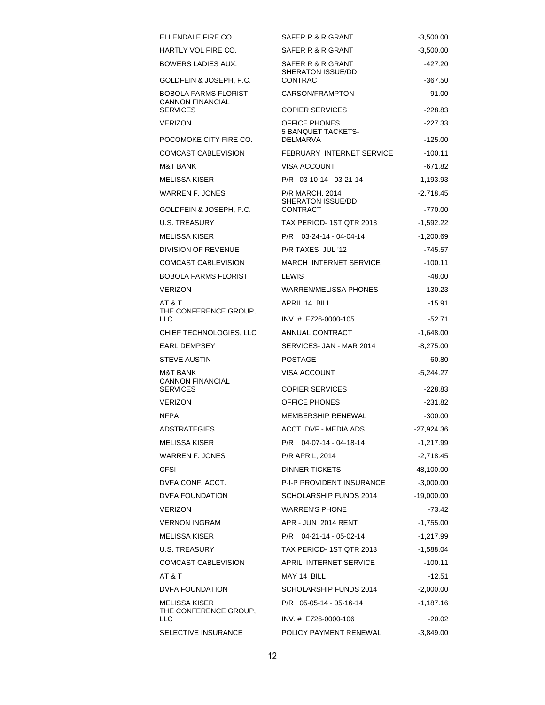| ELLENDALE FIRE CO.                              | SAFER R & R GRANT                                  | $-3,500.00$            |
|-------------------------------------------------|----------------------------------------------------|------------------------|
| HARTLY VOL FIRE CO.                             | SAFER R & R GRANT                                  | $-3,500.00$            |
| BOWERS LADIES AUX.                              | SAFER R & R GRANT<br>SHERATON ISSUE/DD             | -427.20                |
| GOLDFEIN & JOSEPH, P.C.                         | <b>CONTRACT</b>                                    | $-367.50$              |
| BOBOLA FARMS FLORIST<br>CANNON FINANCIAL        | CARSON/FRAMPTON                                    | $-91.00$               |
| SERVICES                                        | <b>COPIER SERVICES</b>                             | $-228.83$              |
| VERIZON                                         | OFFICE PHONES<br><b>5 BANQUET TACKETS-</b>         | $-227.33$              |
| POCOMOKE CITY FIRE CO.                          | <b>DELMARVA</b>                                    | $-125.00$              |
| COMCAST CABLEVISION                             | FEBRUARY INTERNET SERVICE                          | $-100.11$              |
| M&T BANK                                        | <b>VISA ACCOUNT</b>                                | $-671.82$              |
| MELISSA KISER                                   | P/R 03-10-14 - 03-21-14                            | $-1,193.93$            |
| WARREN F. JONES                                 | <b>P/R MARCH, 2014</b><br><b>SHERATON ISSUE/DD</b> | $-2,718.45$            |
| GOLDFEIN & JOSEPH, P.C.                         | <b>CONTRACT</b>                                    | $-770.00$              |
| U.S. TREASURY                                   | TAX PERIOD-1ST QTR 2013                            | $-1,592.22$            |
| MELISSA KISER                                   | $P/R$ 03-24-14 - 04-04-14                          | $-1,200.69$            |
| DIVISION OF REVENUE                             | P/R TAXES JUL '12                                  | -745.57                |
| COMCAST CABLEVISION                             | <b>MARCH INTERNET SERVICE</b>                      | $-100.11$              |
| BOBOLA FARMS FLORIST                            | LEWIS                                              | $-48.00$               |
| VERIZON                                         | WARREN/MELISSA PHONES                              | $-130.23$              |
| AT & T<br>THE CONFERENCE GROUP.<br>LLC          | APRIL 14 BILL<br>INV. # E726-0000-105              | $-15.91$<br>$-52.71$   |
| CHIEF TECHNOLOGIES, LLC                         | ANNUAL CONTRACT                                    |                        |
| EARL DEMPSEY                                    | SERVICES- JAN - MAR 2014                           | $-1,648.00$            |
|                                                 | <b>POSTAGE</b>                                     | $-8,275.00$            |
| STEVE AUSTIN                                    |                                                    | $-60.80$               |
| M&T BANK<br>CANNON FINANCIAL<br><b>SERVICES</b> | VISA ACCOUNT<br><b>COPIER SERVICES</b>             | $-5,244.27$<br>-228.83 |
| <b>VERIZON</b>                                  | OFFICE PHONES                                      | -231.82                |
| <b>NFPA</b>                                     | MEMBERSHIP RENEWAL                                 | $-300.00$              |
| <b>ADSTRATEGIES</b>                             | ACCT. DVF - MEDIA ADS                              | $-27,924.36$           |
| MELISSA KISER                                   | P/R 04-07-14 - 04-18-14                            | $-1,217.99$            |
| WARREN F. JONES                                 | <b>P/R APRIL, 2014</b>                             | $-2,718.45$            |
| CFSI                                            | <b>DINNER TICKETS</b>                              | -48,100.00             |
| DVFA CONF. ACCT.                                | P-I-P PROVIDENT INSURANCE                          | $-3,000.00$            |
| DVFA FOUNDATION                                 | SCHOLARSHIP FUNDS 2014                             | $-19,000.00$           |
| VERIZON                                         | <b>WARREN'S PHONE</b>                              | $-73.42$               |
| VERNON INGRAM                                   | APR - JUN 2014 RENT                                | $-1,755.00$            |
| MELISSA KISER                                   | P/R 04-21-14 - 05-02-14                            | $-1,217.99$            |
| U.S. TREASURY                                   | TAX PERIOD-1ST QTR 2013                            | $-1,588.04$            |
| COMCAST CABLEVISION                             | APRIL INTERNET SERVICE                             | $-100.11$              |
| AT & T                                          | MAY 14 BILL                                        | -12.51                 |
| DVFA FOUNDATION                                 | SCHOLARSHIP FUNDS 2014                             | $-2,000.00$            |
| MELISSA KISER<br>THE CONFERENCE GROUP,          | P/R 05-05-14 - 05-16-14                            | $-1,187.16$            |
| LLC                                             | INV. # E726-0000-106                               | $-20.02$               |
| SELECTIVE INSURANCE                             | POLICY PAYMENT RENEWAL                             | $-3,849.00$            |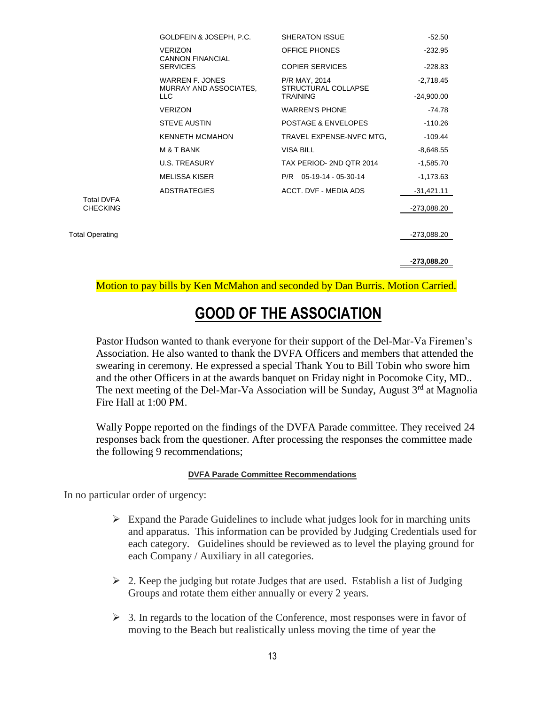|                                      | GOLDFEIN & JOSEPH, P.C.                   | <b>SHERATON ISSUE</b>                | $-52.50$     |
|--------------------------------------|-------------------------------------------|--------------------------------------|--------------|
|                                      | <b>VERIZON</b><br><b>CANNON FINANCIAL</b> | OFFICE PHONES                        | $-232.95$    |
|                                      | <b>SERVICES</b>                           | <b>COPIER SERVICES</b>               | $-228.83$    |
|                                      | WARREN F. JONES<br>MURRAY AND ASSOCIATES, | P/R MAY, 2014<br>STRUCTURAL COLLAPSE | $-2.718.45$  |
|                                      | LLC.                                      | <b>TRAINING</b>                      | $-24,900.00$ |
|                                      | <b>VERIZON</b>                            | <b>WARREN'S PHONE</b>                | $-74.78$     |
|                                      | <b>STEVE AUSTIN</b>                       | POSTAGE & ENVELOPES                  | $-110.26$    |
|                                      | <b>KENNETH MCMAHON</b>                    | TRAVEL EXPENSE-NVFC MTG.             | -109.44      |
|                                      | M & T BANK                                | <b>VISA BILL</b>                     | $-8,648.55$  |
|                                      | <b>U.S. TREASURY</b>                      | TAX PERIOD-2ND OTR 2014              | $-1,585.70$  |
|                                      | <b>MELISSA KISER</b>                      | $P/R$ 05-19-14 - 05-30-14            | $-1,173.63$  |
|                                      | <b>ADSTRATEGIES</b>                       | ACCT. DVF - MEDIA ADS                | $-31,421.11$ |
| <b>Total DVFA</b><br><b>CHECKING</b> |                                           |                                      | -273,088.20  |
|                                      |                                           |                                      |              |
| <b>Total Operating</b>               |                                           |                                      | -273,088.20  |
|                                      |                                           |                                      |              |
|                                      |                                           |                                      | -273,088.20  |

Motion to pay bills by Ken McMahon and seconded by Dan Burris. Motion Carried.

# **GOOD OF THE ASSOCIATION**

Pastor Hudson wanted to thank everyone for their support of the Del-Mar-Va Firemen's Association. He also wanted to thank the DVFA Officers and members that attended the swearing in ceremony. He expressed a special Thank You to Bill Tobin who swore him and the other Officers in at the awards banquet on Friday night in Pocomoke City, MD.. The next meeting of the Del-Mar-Va Association will be Sunday, August  $3<sup>rd</sup>$  at Magnolia Fire Hall at 1:00 PM.

Wally Poppe reported on the findings of the DVFA Parade committee. They received 24 responses back from the questioner. After processing the responses the committee made the following 9 recommendations;

#### **DVFA Parade Committee Recommendations**

In no particular order of urgency:

- $\triangleright$  Expand the Parade Guidelines to include what judges look for in marching units and apparatus. This information can be provided by Judging Credentials used for each category. Guidelines should be reviewed as to level the playing ground for each Company / Auxiliary in all categories.
- $\geq$  2. Keep the judging but rotate Judges that are used. Establish a list of Judging Groups and rotate them either annually or every 2 years.
- $\geq$  3. In regards to the location of the Conference, most responses were in favor of moving to the Beach but realistically unless moving the time of year the